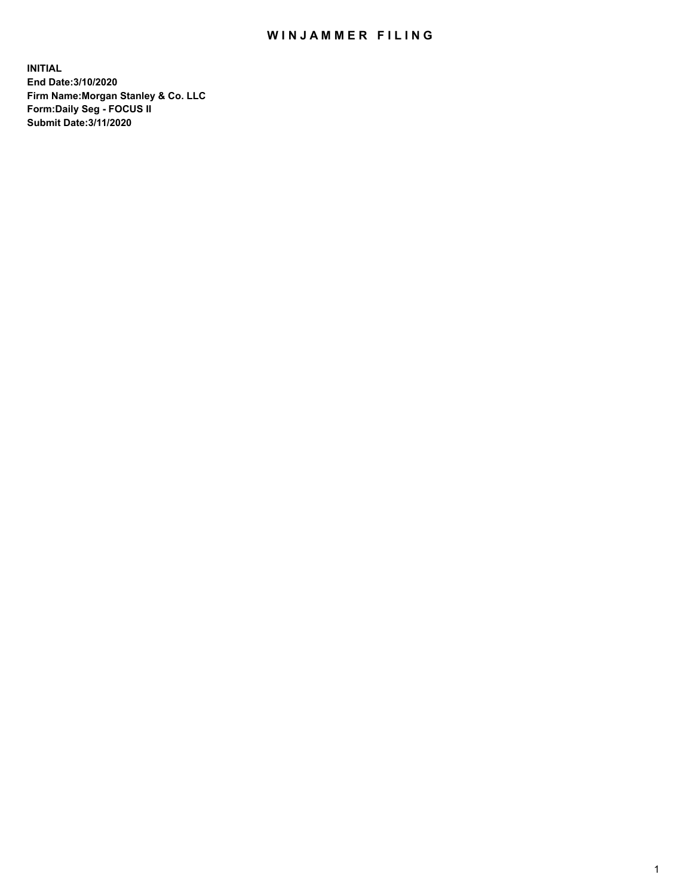## WIN JAMMER FILING

**INITIAL End Date:3/10/2020 Firm Name:Morgan Stanley & Co. LLC Form:Daily Seg - FOCUS II Submit Date:3/11/2020**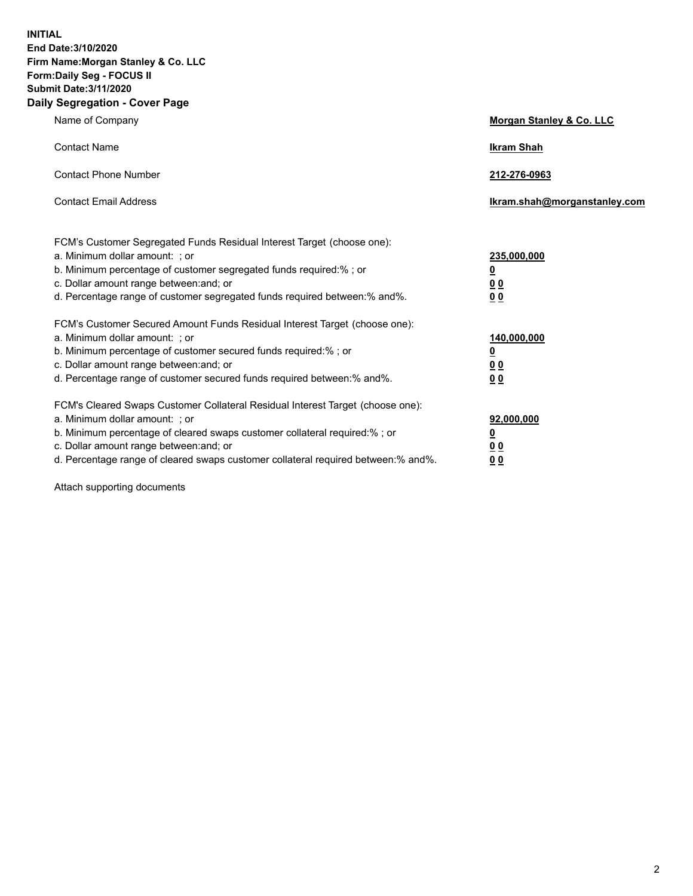**INITIAL End Date:3/10/2020 Firm Name:Morgan Stanley & Co. LLC Form:Daily Seg - FOCUS II Submit Date:3/11/2020 Daily Segregation - Cover Page**

| Name of Company                                                                                                                                                                                                                                                                                                                | <b>Morgan Stanley &amp; Co. LLC</b>                    |
|--------------------------------------------------------------------------------------------------------------------------------------------------------------------------------------------------------------------------------------------------------------------------------------------------------------------------------|--------------------------------------------------------|
| <b>Contact Name</b>                                                                                                                                                                                                                                                                                                            | <b>Ikram Shah</b>                                      |
| <b>Contact Phone Number</b>                                                                                                                                                                                                                                                                                                    | 212-276-0963                                           |
| <b>Contact Email Address</b>                                                                                                                                                                                                                                                                                                   | Ikram.shah@morganstanley.com                           |
| FCM's Customer Segregated Funds Residual Interest Target (choose one):<br>a. Minimum dollar amount: ; or<br>b. Minimum percentage of customer segregated funds required:% ; or<br>c. Dollar amount range between: and; or<br>d. Percentage range of customer segregated funds required between:% and%.                         | 235,000,000<br><u>0</u><br>0 Q<br>0 Q                  |
| FCM's Customer Secured Amount Funds Residual Interest Target (choose one):<br>a. Minimum dollar amount: ; or<br>b. Minimum percentage of customer secured funds required:% ; or<br>c. Dollar amount range between: and; or<br>d. Percentage range of customer secured funds required between: % and %.                         | 140,000,000<br><u>0</u><br><u>00</u><br>0 <sub>0</sub> |
| FCM's Cleared Swaps Customer Collateral Residual Interest Target (choose one):<br>a. Minimum dollar amount: ; or<br>b. Minimum percentage of cleared swaps customer collateral required:% ; or<br>c. Dollar amount range between: and; or<br>d. Percentage range of cleared swaps customer collateral required between:% and%. | 92,000,000<br><u>0</u><br>0 Q<br>00                    |

Attach supporting documents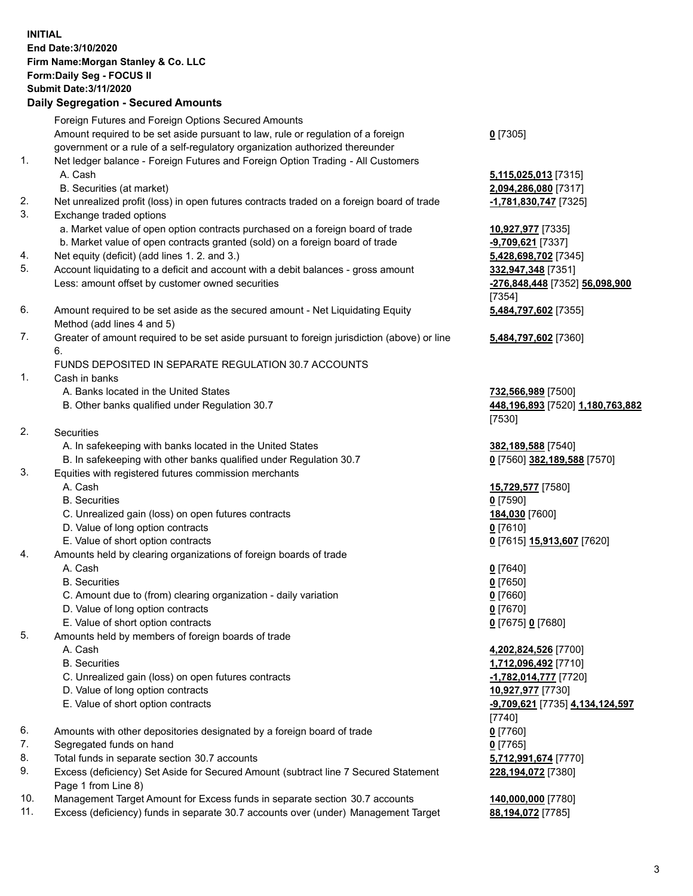## **INITIAL End Date:3/10/2020 Firm Name:Morgan Stanley & Co. LLC Form:Daily Seg - FOCUS II Submit Date:3/11/2020 Daily Segregation - Secured Amounts** Foreign Futures and Foreign Options Secured Amounts Amount required to be set aside pursuant to law, rule or regulation of a foreign government or a rule of a self-regulatory organization authorized thereunder 1. Net ledger balance - Foreign Futures and Foreign Option Trading - All Customers A. Cash **5,115,025,013** [7315] B. Securities (at market) **2,094,286,080** [7317] 2. Net unrealized profit (loss) in open futures contracts traded on a foreign board of trade **-1,781,830,747** [7325] 3. Exchange traded options a. Market value of open option contracts purchased on a foreign board of trade **10,927,977** [7335] b. Market value of open contracts granted (sold) on a foreign board of trade **-9,709,621** [7337] 4. Net equity (deficit) (add lines 1. 2. and 3.) **5,428,698,702** [7345] 5. Account liquidating to a deficit and account with a debit balances - gross amount **332,947,348** [7351] Less: amount offset by customer owned securities **-276,848,448** [7352] **56,098,900** 6. Amount required to be set aside as the secured amount - Net Liquidating Equity Method (add lines 4 and 5) 7. Greater of amount required to be set aside pursuant to foreign jurisdiction (above) or line 6. FUNDS DEPOSITED IN SEPARATE REGULATION 30.7 ACCOUNTS 1. Cash in banks A. Banks located in the United States **732,566,989** [7500] B. Other banks qualified under Regulation 30.7 **448,196,893** [7520] **1,180,763,882** 2. Securities A. In safekeeping with banks located in the United States **382,189,588** [7540] B. In safekeeping with other banks qualified under Regulation 30.7 **0** [7560] **382,189,588** [7570] 3. Equities with registered futures commission merchants A. Cash **15,729,577** [7580] B. Securities **0** [7590] C. Unrealized gain (loss) on open futures contracts **184,030** [7600] D. Value of long option contracts **0** [7610] E. Value of short option contracts **0** [7615] **15,913,607** [7620] 4. Amounts held by clearing organizations of foreign boards of trade A. Cash **0** [7640] B. Securities **0** [7650] C. Amount due to (from) clearing organization - daily variation **0** [7660] D. Value of long option contracts **0** [7670] E. Value of short option contracts **0** [7675] **0** [7680]

- 5. Amounts held by members of foreign boards of trade
	-
	-
	- C. Unrealized gain (loss) on open futures contracts **-1,782,014,777** [7720]
	- D. Value of long option contracts **10,927,977** [7730]
	- E. Value of short option contracts **-9,709,621** [7735] **4,134,124,597**
- 6. Amounts with other depositories designated by a foreign board of trade **0** [7760]
- 7. Segregated funds on hand **0** [7765]
- 8. Total funds in separate section 30.7 accounts **5,712,991,674** [7770]
- 9. Excess (deficiency) Set Aside for Secured Amount (subtract line 7 Secured Statement Page 1 from Line 8)
- 10. Management Target Amount for Excess funds in separate section 30.7 accounts **140,000,000** [7780]
- 11. Excess (deficiency) funds in separate 30.7 accounts over (under) Management Target **88,194,072** [7785]

**0** [7305]

[7354] **5,484,797,602** [7355]

**5,484,797,602** [7360]

[7530]

 A. Cash **4,202,824,526** [7700] B. Securities **1,712,096,492** [7710] [7740] **228,194,072** [7380]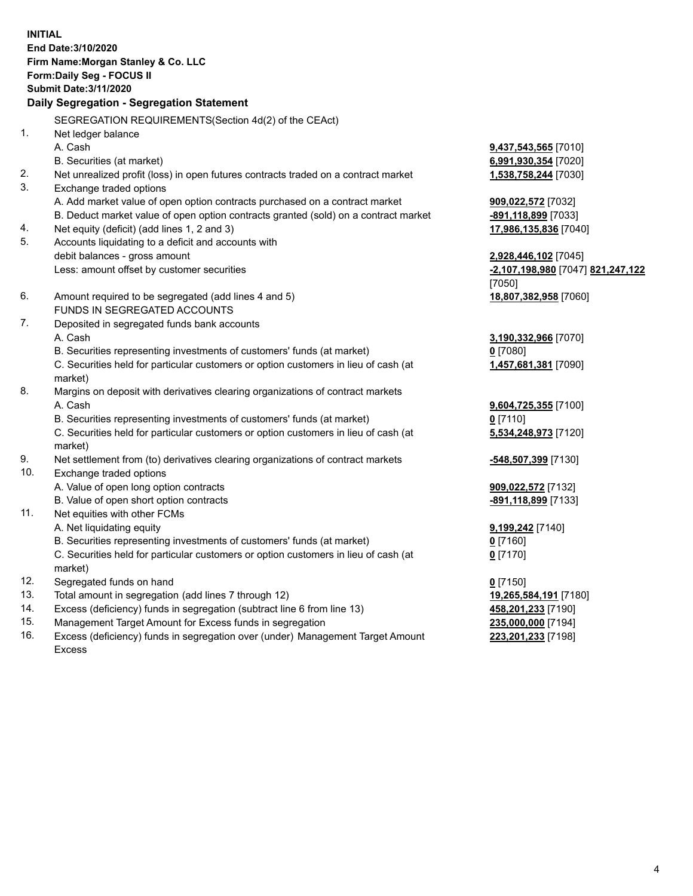**INITIAL End Date:3/10/2020 Firm Name:Morgan Stanley & Co. LLC Form:Daily Seg - FOCUS II Submit Date:3/11/2020 Daily Segregation - Segregation Statement** SEGREGATION REQUIREMENTS(Section 4d(2) of the CEAct) 1. Net ledger balance A. Cash **9,437,543,565** [7010] B. Securities (at market) **6,991,930,354** [7020] 2. Net unrealized profit (loss) in open futures contracts traded on a contract market **1,538,758,244** [7030] 3. Exchange traded options A. Add market value of open option contracts purchased on a contract market **909,022,572** [7032] B. Deduct market value of open option contracts granted (sold) on a contract market **-891,118,899** [7033] 4. Net equity (deficit) (add lines 1, 2 and 3) **17,986,135,836** [7040] 5. Accounts liquidating to a deficit and accounts with debit balances - gross amount **2,928,446,102** [7045] Less: amount offset by customer securities **-2,107,198,980** [7047] **821,247,122** [7050] 6. Amount required to be segregated (add lines 4 and 5) **18,807,382,958** [7060] FUNDS IN SEGREGATED ACCOUNTS 7. Deposited in segregated funds bank accounts A. Cash **3,190,332,966** [7070] B. Securities representing investments of customers' funds (at market) **0** [7080] C. Securities held for particular customers or option customers in lieu of cash (at market) **1,457,681,381** [7090] 8. Margins on deposit with derivatives clearing organizations of contract markets A. Cash **9,604,725,355** [7100] B. Securities representing investments of customers' funds (at market) **0** [7110] C. Securities held for particular customers or option customers in lieu of cash (at market) **5,534,248,973** [7120] 9. Net settlement from (to) derivatives clearing organizations of contract markets **-548,507,399** [7130] 10. Exchange traded options A. Value of open long option contracts **909,022,572** [7132] B. Value of open short option contracts **-891,118,899** [7133] 11. Net equities with other FCMs A. Net liquidating equity **9,199,242** [7140] B. Securities representing investments of customers' funds (at market) **0** [7160] C. Securities held for particular customers or option customers in lieu of cash (at market) **0** [7170] 12. Segregated funds on hand **0** [7150] 13. Total amount in segregation (add lines 7 through 12) **19,265,584,191** [7180] 14. Excess (deficiency) funds in segregation (subtract line 6 from line 13) **458,201,233** [7190] 15. Management Target Amount for Excess funds in segregation **235,000,000** [7194] 16. Excess (deficiency) funds in segregation over (under) Management Target Amount **223,201,233** [7198]

Excess